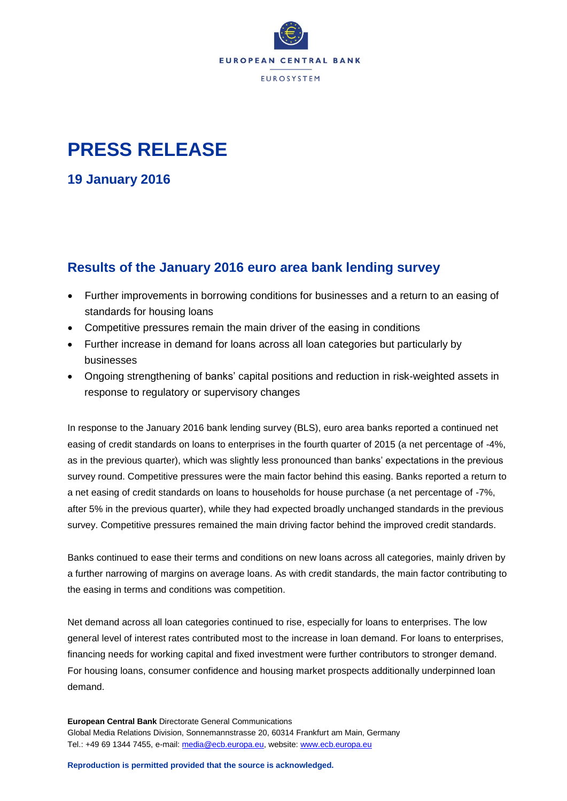

## **PRESS RELEASE**

**19 January 2016**

## **Results of the January 2016 euro area bank lending survey**

- Further improvements in borrowing conditions for businesses and a return to an easing of standards for housing loans
- Competitive pressures remain the main driver of the easing in conditions
- Further increase in demand for loans across all loan categories but particularly by businesses
- Ongoing strengthening of banks' capital positions and reduction in risk-weighted assets in response to regulatory or supervisory changes

In response to the January 2016 bank lending survey (BLS), euro area banks reported a continued net easing of credit standards on loans to enterprises in the fourth quarter of 2015 (a net percentage of -4%, as in the previous quarter), which was slightly less pronounced than banks' expectations in the previous survey round. Competitive pressures were the main factor behind this easing. Banks reported a return to a net easing of credit standards on loans to households for house purchase (a net percentage of -7%, after 5% in the previous quarter), while they had expected broadly unchanged standards in the previous survey. Competitive pressures remained the main driving factor behind the improved credit standards.

Banks continued to ease their terms and conditions on new loans across all categories, mainly driven by a further narrowing of margins on average loans. As with credit standards, the main factor contributing to the easing in terms and conditions was competition.

Net demand across all loan categories continued to rise, especially for loans to enterprises. The low general level of interest rates contributed most to the increase in loan demand. For loans to enterprises, financing needs for working capital and fixed investment were further contributors to stronger demand. For housing loans, consumer confidence and housing market prospects additionally underpinned loan demand.

**European Central Bank** Directorate General Communications Global Media Relations Division, Sonnemannstrasse 20, 60314 Frankfurt am Main, Germany Tel.: +49 69 1344 7455, e-mail: [media@ecb.europa.eu,](mailto:media@ecb.europa.eu) website[: www.ecb.europa.eu](http://www.ecb.europa.eu/)